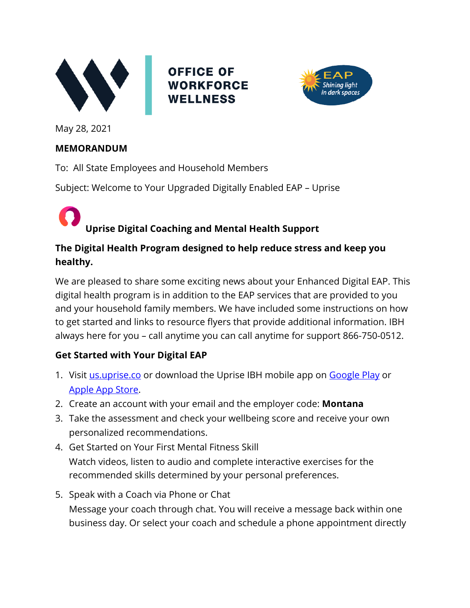

**OFFICE OF WORKFORCE WELLNESS** 



May 28, 2021

#### **MEMORANDUM**

To: All State Employees and Household Members

Subject: Welcome to Your Upgraded Digitally Enabled EAP – Uprise

### **Uprise Digital Coaching and Mental Health Support**

### **The Digital Health Program designed to help reduce stress and keep you healthy.**

We are pleased to share some exciting news about your Enhanced Digital EAP. This digital health program is in addition to the EAP services that are provided to you and your household family members. We have included some instructions on how to get started and links to resource flyers that provide additional information. IBH always here for you – call anytime you can call anytime for support 866-750-0512.

### **Get Started with Your Digital EAP**

- 1. Visit [us.uprise.co](https://us.uprise.co/sign-in) or download the Uprise IBH mobile app on [Google Play](https://play.google.com/store/apps/details?id=com.uprise.ibh) or Apple [App Store.](https://apps.apple.com/us/app/uprise-ibh/id1545487849)
- 2. Create an account with your email and the employer code: **Montana**
- 3. Take the assessment and check your wellbeing score and receive your own personalized recommendations.
- 4. Get Started on Your First Mental Fitness Skill Watch videos, listen to audio and complete interactive exercises for the recommended skills determined by your personal preferences.
- 5. Speak with a Coach via Phone or Chat Message your coach through chat. You will receive a message back within one business day. Or select your coach and schedule a phone appointment directly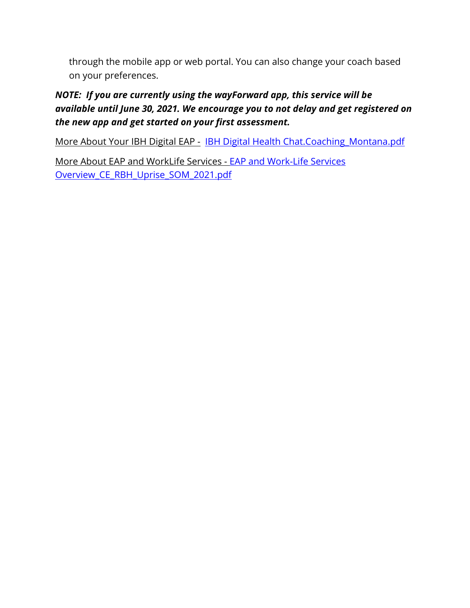through the mobile app or web portal. You can also change your coach based on your preferences.

#### *NOTE: If you are currently using the wayForward app, this service will be available until June 30, 2021. We encourage you to not delay and get registered on the new app and get started on your first assessment.*

More About Your IBH Digital EAP - IBH Digital Health Chat.Coaching Montana.pdf

More About EAP and WorkLife Services - [EAP and Work-Life Services](file:///C:/Users/cm1734/AppData/Local/Microsoft/Windows/INetCache/Content.Outlook/5WBWP3U6/EAP%20and%20Work-Life%20Services%20Overview_CE_RBH_Uprise_SOM_2021.pdf)  [Overview\\_CE\\_RBH\\_Uprise\\_SOM\\_2021.pdf](file:///C:/Users/cm1734/AppData/Local/Microsoft/Windows/INetCache/Content.Outlook/5WBWP3U6/EAP%20and%20Work-Life%20Services%20Overview_CE_RBH_Uprise_SOM_2021.pdf)